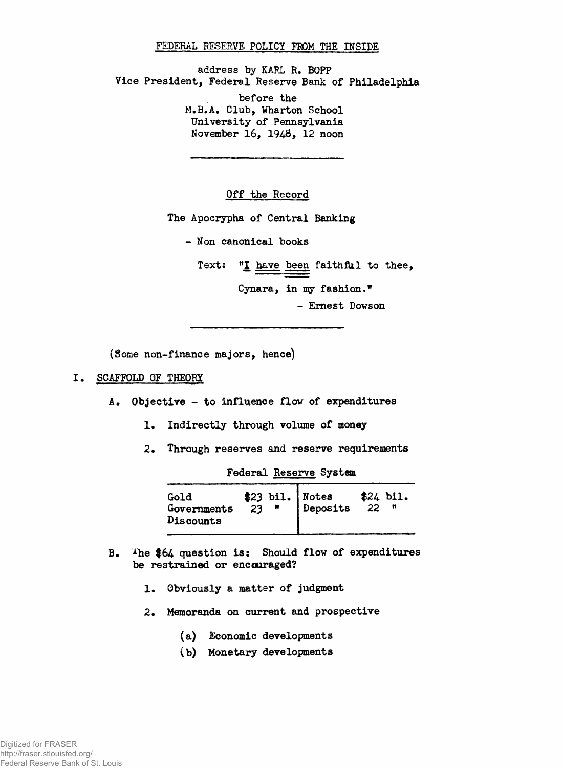### **FEDERAL RESERVE POLICY FROM THE INSIDE**

**address by KARL R. BOPP Vice President, Federal Reserve Bank of Philadelphia before the M.B.A. Club, Wharton School University of Pennsylvania November 16, 1948***,* **12 noon**

**Off the Record**

**The Apocrypha of Central Banking**

**- Non canonical books**

Text: "I have been faithful to thee,

**Cynara, in my fashion."**

**- Ernest Dowson**

**(Some non-finance majors, hence)**

# **SCAFFOLD OF THEORY**

- **A. Objective to influence flow of expenditures**
	- **1. Indirectly through volume of money**
	- **2. Through reserves and reserve requirements**

**Federal Reserve System**

| Gold<br>Governments<br>Discounts |  | $\begin{array}{c c} 23 & \text{bil.} \\ 23 & \text{m} \end{array}$ Notes<br>Deposits | $$24$ bil.<br>-22 |
|----------------------------------|--|--------------------------------------------------------------------------------------|-------------------|
|                                  |  |                                                                                      |                   |

- **B. ihe \$64 question is: Should flow of expenditures be restrained or encouraged?**
	- **1, Obviously a matter of judgment**
	- **2. Memoranda on current and prospective**
		- **(a) Economic developments**
		- **(b) Monetary developments**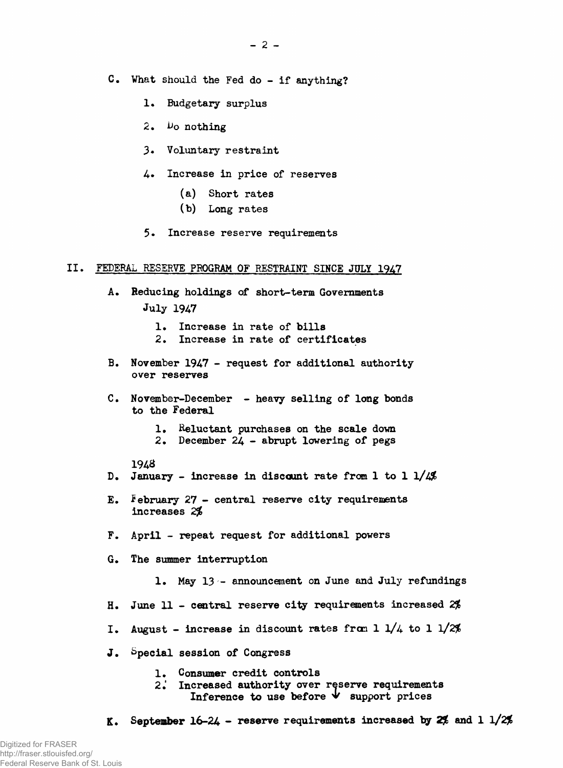- **C. What should the Fed do if anything?**
	- **1. Budgetary surplus**
	- 2. *Vo* nothing
	- **3\* Voluntary restraint**
	- **4. Increase in price of reserves**
		- **(a) Short rates**
		- **(b) Long rates**
	- 5. Increase reserve requirements

#### **II. FEDERAL RESERVE PROGRAM OF RESTRAINT SINCE JULY 1947**

- **A. Reducing holdings of short-term Governments July 1947**
	- 1. Increase in rate of bills
	- **2. Increase in rate of certificates**
- **B. November 1947 request for additional authority over reserves**
- **C. November-December heavy selling of long bonds to the Federal**
	- **1» Reluctant purchases on the scale down**
	- **2. December 24 abrupt lowering of pegs**

### **1948**

- **D. January increase in discount rate from 1 to 1 l/4#**
- **E. February 27 central reserve city requirements increases 2j£**
- **F. April repeat request for additional powers**
- **G. The summer interruption**
	- **1. May 13 announcement on June and July refundings**
- **H. June 11 central reserve city requirements increased** *2\$*
- **I. August increase in discount rates fran 1 l/4 to 1 l/2%**
- **J. Special session of Congress**
	- **1. Consumer credit controls**
	- **2.' Increased authority over reserve requirements** Inference to use before  $\forall$  support prices
- **K.** September  $16-24$  reserve requirements increased by  $2\frac{4}{5}$  and  $1\frac{1}{25}$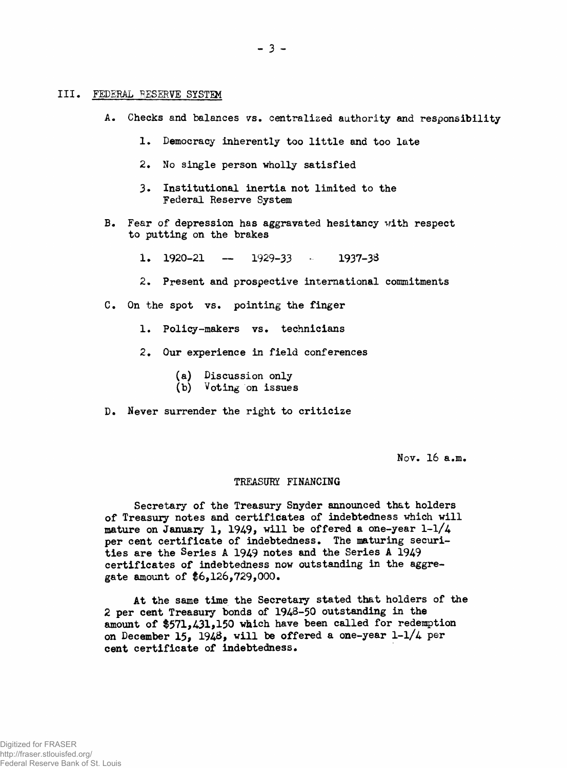#### **III. FEDERAL RESERVE SYSTEM**

- **A• Checks and balances vs. centralized authority and responsibility**
	- **1. Democracy inherently too little and too late**
	- **2. No single person wholly satisfied**
	- **3- Institutional inertia not limited to the Federal Reserve System**
- **B. Fear of depression has aggravated hesitancy with respect to putting on the brakes**

**1. 1920-21 — 1929-33 - 1937-33**

- **2. Present and prospective international commitments**
- **C. On the spot vs. pointing the finger**
	- **1. Policy-makers vs. technicians**
	- **2. Our experience in field conferences**
		- **(a) Discussion only**
		- **(b) Voting on issues**
- **D. Never surrender the right to criticize**

**Nov. 16 a.m.**

## **TREASURY FINANCING**

**Secretary of the Treasury Snyder announced that holders of Treasury notes and certificates of indebtedness which will** mature on January 1, 1949, will be offered a one-year 1-1/4 **per cent certificate of indebtedness. The maturing securities are the Series A 1949 notes and the Series A 1949 certificates of indebtedness now outstanding in the aggregate amount of \$6,126,729,000.**

**At the same time the Secretary stated that holders of the 2 per cent Treasury bonds of 1948-50 outstanding in the amount of \$571,431,150 which have been called for redemption on December 15, 194&, will be offered a one-year 1-1/4 per cent certificate of indebtedness.**